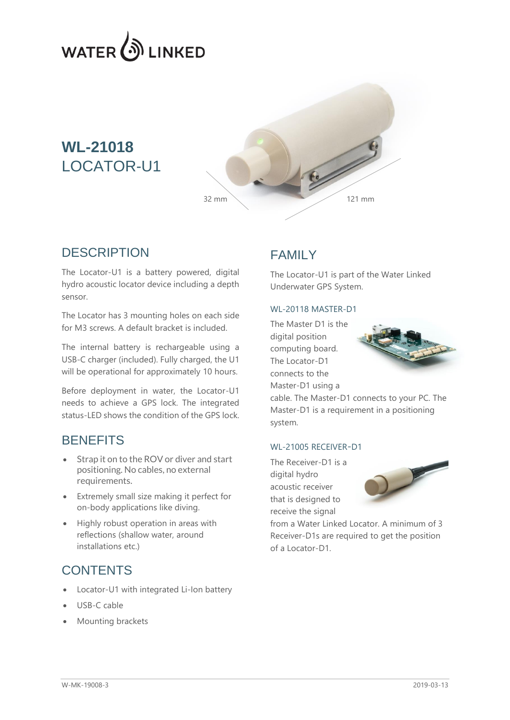

# **WL-21018** LOCATOR-U1



### **DESCRIPTION**

The Locator-U1 is a battery powered, digital hydro acoustic locator device including a depth sensor.

The Locator has 3 mounting holes on each side for M3 screws. A default bracket is included.

The internal battery is rechargeable using a USB-C charger (included). Fully charged, the U1 will be operational for approximately 10 hours.

Before deployment in water, the Locator-U1 needs to achieve a GPS lock. The integrated status-LED shows the condition of the GPS lock.

### **BENEFITS**

- Strap it on to the ROV or diver and start positioning. No cables, no external requirements.
- Extremely small size making it perfect for on-body applications like diving.
- Highly robust operation in areas with reflections (shallow water, around installations etc.)

### **CONTENTS**

- Locator-U1 with integrated Li-Ion battery
- USB-C cable
- Mounting brackets

## FAMILY

The Locator-U1 is part of the Water Linked Underwater GPS System.

#### WL-20118 MASTER-D1

The Master D1 is the digital position computing board. The Locator-D1 connects to the Master-D1 using a



cable. The Master-D1 connects to your PC. The Master-D1 is a requirement in a positioning system.

#### WL-21005 RECEIVER-D1

The Receiver-D1 is a digital hydro acoustic receiver that is designed to receive the signal



from a Water Linked Locator. A minimum of 3 Receiver-D1s are required to get the position of a Locator-D1.